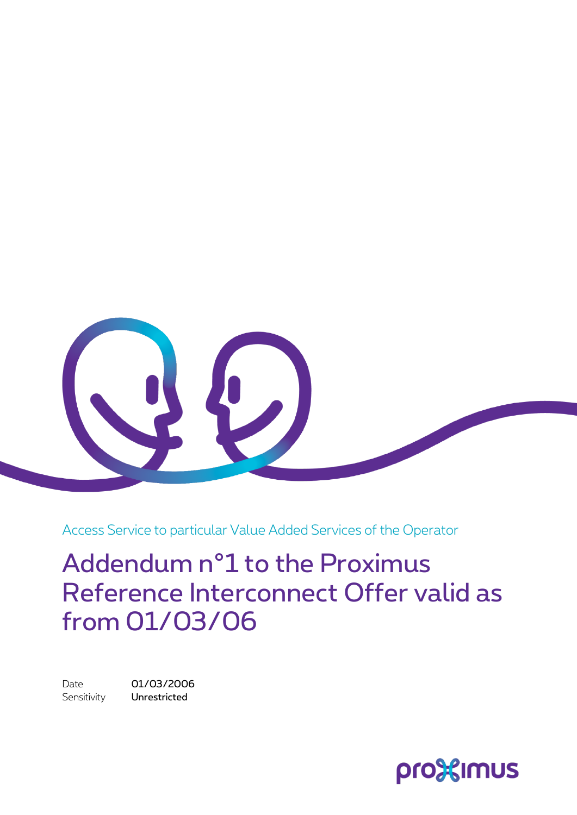

Access Service to particular Value Added Services of the Operator

Addendum n°1 to the Proximus Reference Interconnect Offer valid as from 01/03/06

Date 01/03/2006 Sensitivity **Unrestricted** 

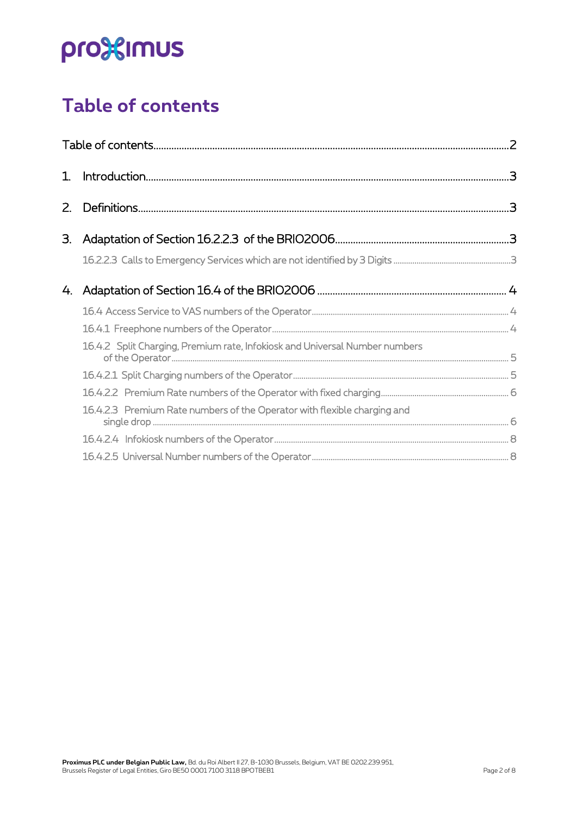## <span id="page-1-0"></span>**Table of contents**

| $1_{\cdot}$ |                                                                             |  |
|-------------|-----------------------------------------------------------------------------|--|
| $Z_{\cdot}$ |                                                                             |  |
| 3.          |                                                                             |  |
|             |                                                                             |  |
| 4.          |                                                                             |  |
|             |                                                                             |  |
|             |                                                                             |  |
|             | 16.4.2 Split Charging, Premium rate, Infokiosk and Universal Number numbers |  |
|             |                                                                             |  |
|             |                                                                             |  |
|             | 16.4.2.3 Premium Rate numbers of the Operator with flexible charging and    |  |
|             |                                                                             |  |
|             |                                                                             |  |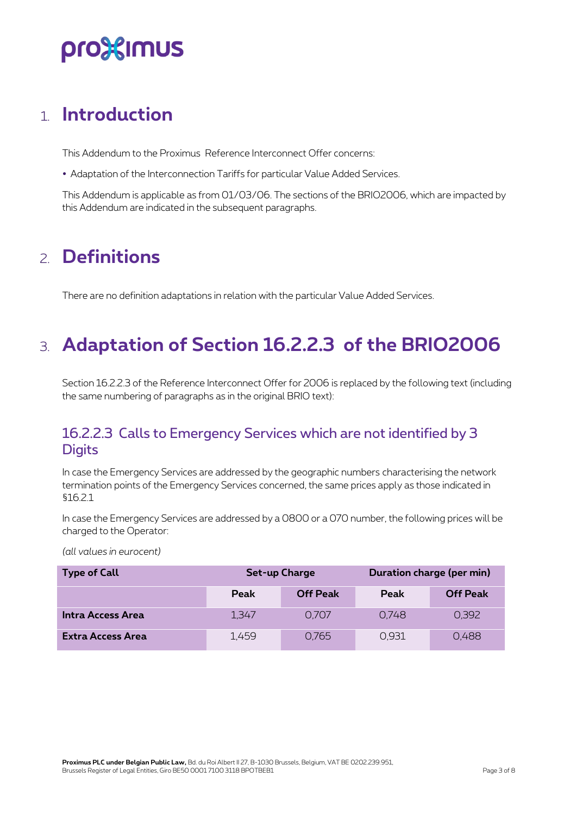## pro%imus

### <span id="page-2-0"></span>1. **Introduction**

This Addendum to the Proximus Reference Interconnect Offer concerns:

Adaptation of the Interconnection Tariffs for particular Value Added Services.

<span id="page-2-1"></span>This Addendum is applicable as from 01/03/06. The sections of the BRIO2006, which are impacted by this Addendum are indicated in the subsequent paragraphs.

### 2. **Definitions**

<span id="page-2-2"></span>There are no definition adaptations in relation with the particular Value Added Services.

### 3. **Adaptation of Section 16.2.2.3 of the BRIO2006**

Section 16.2.2.3 of the Reference Interconnect Offer for 2006 is replaced by the following text (including the same numbering of paragraphs as in the original BRIO text):

#### <span id="page-2-3"></span>16.2.2.3 Calls to Emergency Services which are not identified by 3 **Digits**

In case the Emergency Services are addressed by the geographic numbers characterising the network termination points of the Emergency Services concerned, the same prices apply as those indicated in §16.2.1

In case the Emergency Services are addressed by a 0800 or a 070 number, the following prices will be charged to the Operator:

| <b>Type of Call</b>      | Set-up Charge |                 | Duration charge (per min) |                 |
|--------------------------|---------------|-----------------|---------------------------|-----------------|
|                          | Peak          | <b>Off Peak</b> | Peak                      | <b>Off Peak</b> |
| Intra Access Area        | 1.347         | 0.707           | 0.748                     | 0.392           |
| <b>Extra Access Area</b> | 1,459         | 0.765           | 0.931                     | 0,488           |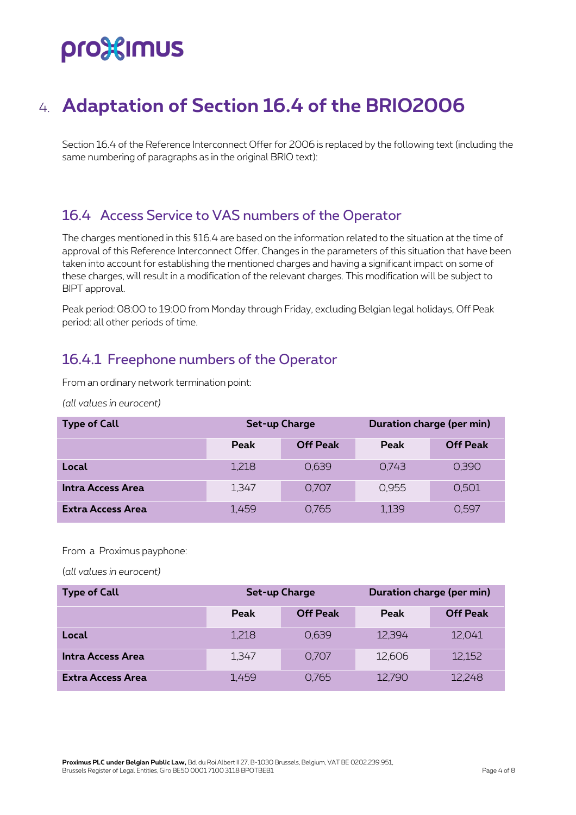## pro%imus

### <span id="page-3-0"></span>4. **Adaptation of Section 16.4 of the BRIO2006**

Section 16.4 of the Reference Interconnect Offer for 2006 is replaced by the following text (including the same numbering of paragraphs as in the original BRIO text):

#### <span id="page-3-1"></span>16.4 Access Service to VAS numbers of the Operator

The charges mentioned in this §16.4 are based on the information related to the situation at the time of approval of this Reference Interconnect Offer. Changes in the parameters of this situation that have been taken into account for establishing the mentioned charges and having a significant impact on some of these charges, will result in a modification of the relevant charges. This modification will be subject to BIPT approval.

Peak period: 08:00 to 19:00 from Monday through Friday, excluding Belgian legal holidays, Off Peak period: all other periods of time.

#### <span id="page-3-2"></span>16.4.1 Freephone numbers of the Operator

From an ordinary network termination point:

*(all values in eurocent)*

| <b>Type of Call</b>      | Set-up Charge |                 | Duration charge (per min) |                 |
|--------------------------|---------------|-----------------|---------------------------|-----------------|
|                          | Peak          | <b>Off Peak</b> | Peak                      | <b>Off Peak</b> |
| Local                    | 1,218         | 0.639           | 0,743                     | 0.390           |
| Intra Access Area        | 1,347         | 0.707           | 0.955                     | 0.501           |
| <b>Extra Access Area</b> | 1.459         | 0.765           | 1,139                     | 0.597           |

#### From a Proximus payphone:

| <b>Type of Call</b>      | Set-up Charge |                 | Duration charge (per min) |                 |
|--------------------------|---------------|-----------------|---------------------------|-----------------|
|                          | Peak          | <b>Off Peak</b> | Peak                      | <b>Off Peak</b> |
| Local                    | 1,218         | 0.639           | 12,394                    | 12,041          |
| Intra Access Area        | 1,347         | 0.707           | 12,606                    | 12,152          |
| <b>Extra Access Area</b> | 1,459         | 0,765           | 12.790                    | 12,248          |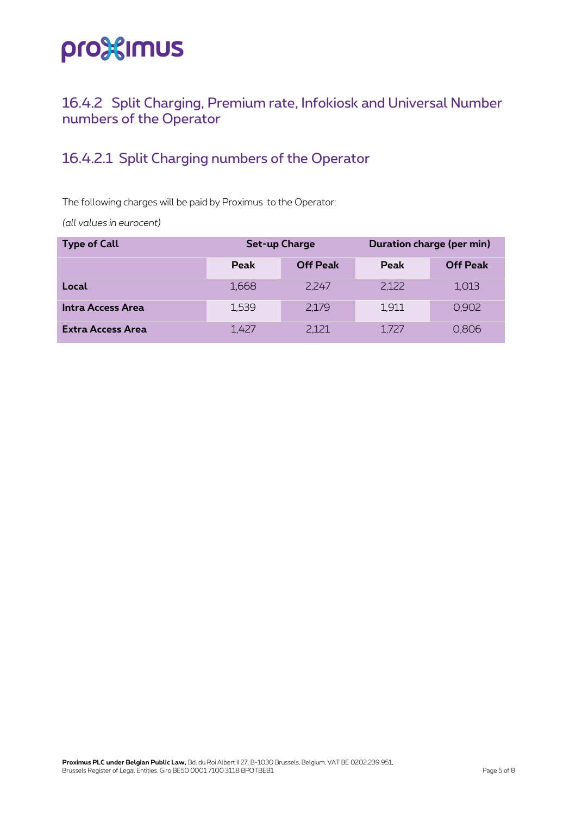#### <span id="page-4-0"></span>16.4.2 Split Charging, Premium rate, Infokiosk and Universal Number numbers of the Operator

### <span id="page-4-1"></span>16.4.2.1 Split Charging numbers of the Operator

The following charges will be paid by Proximus to the Operator:

| <b>Type of Call</b>      | Set-up Charge |                 | Duration charge (per min) |                 |
|--------------------------|---------------|-----------------|---------------------------|-----------------|
|                          | <b>Peak</b>   | <b>Off Peak</b> | Peak                      | <b>Off Peak</b> |
| Local                    | 1.668         | 2.247           | 2.122                     | 1,013           |
| Intra Access Area        | 1.539         | 2,179           | 1,911                     | 0,902           |
| <b>Extra Access Area</b> | 1.427         | 2.121           | 1.727                     | 0.806           |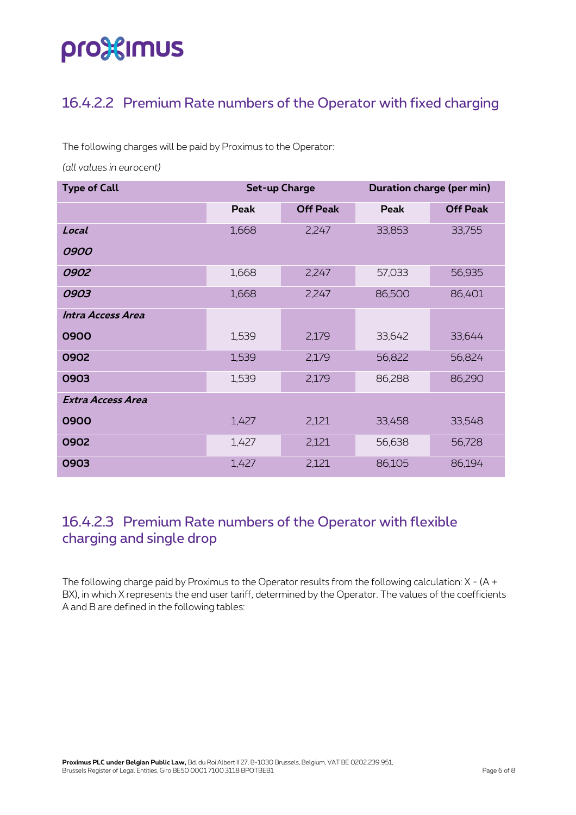# pro%imus

### <span id="page-5-0"></span>16.4.2.2 Premium Rate numbers of the Operator with fixed charging

The following charges will be paid by Proximus to the Operator:

*(all values in eurocent)*

| <b>Type of Call</b> | <b>Set-up Charge</b> |                 | Duration charge (per min) |                 |
|---------------------|----------------------|-----------------|---------------------------|-----------------|
|                     | Peak                 | <b>Off Peak</b> | Peak                      | <b>Off Peak</b> |
| Local               | 1,668                | 2,247           | 33,853                    | 33,755          |
| 0900                |                      |                 |                           |                 |
| 0902                | 1,668                | 2,247           | 57,033                    | 56,935          |
| 0903                | 1,668                | 2,247           | 86,500                    | 86,401          |
| Intra Access Area   |                      |                 |                           |                 |
| 0900                | 1,539                | 2,179           | 33,642                    | 33,644          |
| 0902                | 1,539                | 2,179           | 56,822                    | 56,824          |
| 0903                | 1,539                | 2,179           | 86,288                    | 86,290          |
| Extra Access Area   |                      |                 |                           |                 |
| 0900                | 1,427                | 2,121           | 33,458                    | 33,548          |
| 0902                | 1,427                | 2,121           | 56,638                    | 56,728          |
| 0903                | 1,427                | 2,121           | 86,105                    | 86,194          |

#### <span id="page-5-1"></span>16.4.2.3 Premium Rate numbers of the Operator with flexible charging and single drop

The following charge paid by Proximus to the Operator results from the following calculation: X - (A + BX), in which X represents the end user tariff, determined by the Operator. The values of the coefficients A and B are defined in the following tables: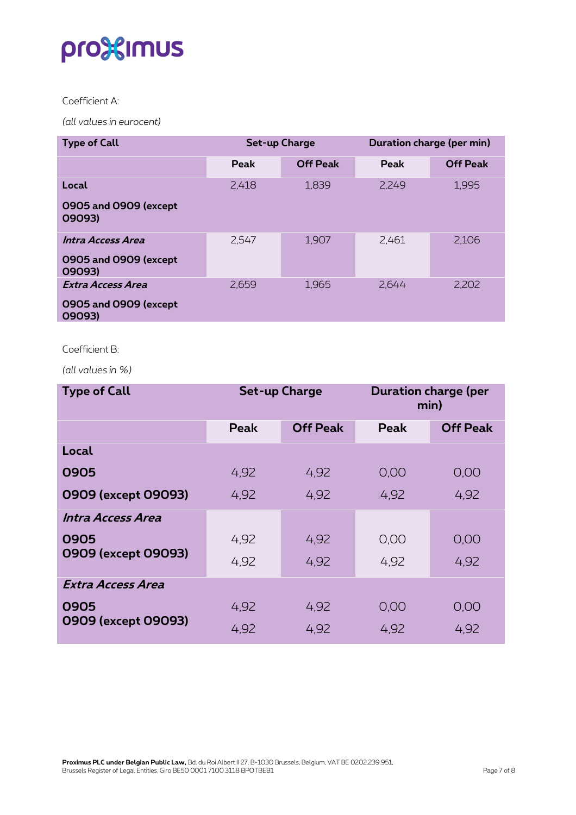#### Coefficient A:

*(all values in eurocent)*

| <b>Type of Call</b>             | <b>Set-up Charge</b> |                 | Duration charge (per min) |                 |
|---------------------------------|----------------------|-----------------|---------------------------|-----------------|
|                                 | Peak                 | <b>Off Peak</b> | Peak                      | <b>Off Peak</b> |
| Local                           | 2,418                | 1,839           | 2.249                     | 1,995           |
| 0905 and 0909 (except<br>09093) |                      |                 |                           |                 |
| Intra Access Area               | 2,547                | 1,907           | 2,461                     | 2,106           |
| 0905 and 0909 (except<br>09093) |                      |                 |                           |                 |
| Extra Access Area               | 2,659                | 1,965           | 2,644                     | 2,202           |
| 0905 and 0909 (except<br>09093) |                      |                 |                           |                 |

#### Coefficient B:

*(all values in %)*

| <b>Type of Call</b> | <b>Set-up Charge</b> |                 | <b>Duration charge (per</b><br>min) |                 |
|---------------------|----------------------|-----------------|-------------------------------------|-----------------|
|                     | <b>Peak</b>          | <b>Off Peak</b> | Peak                                | <b>Off Peak</b> |
| Local               |                      |                 |                                     |                 |
| 0905                | 4,92                 | 4,92            | 0,00                                | 0,00            |
| 0909 (except 09093) | 4.92                 | 4.92            | 4.92                                | 4,92            |
| Intra Access Area   |                      |                 |                                     |                 |
| 0905                | 4.92                 | 4,92            | 0,00                                | 0,00            |
| 0909 (except 09093) | 4.92                 | 4.92            | 4.92                                | 4.92            |
| Extra Access Area   |                      |                 |                                     |                 |
| 0905                | 4,92                 | 4,92            | 0.00                                | 0,00            |
| 0909 (except 09093) | 4.92                 | 4.92            | 4.92                                | 4.92            |